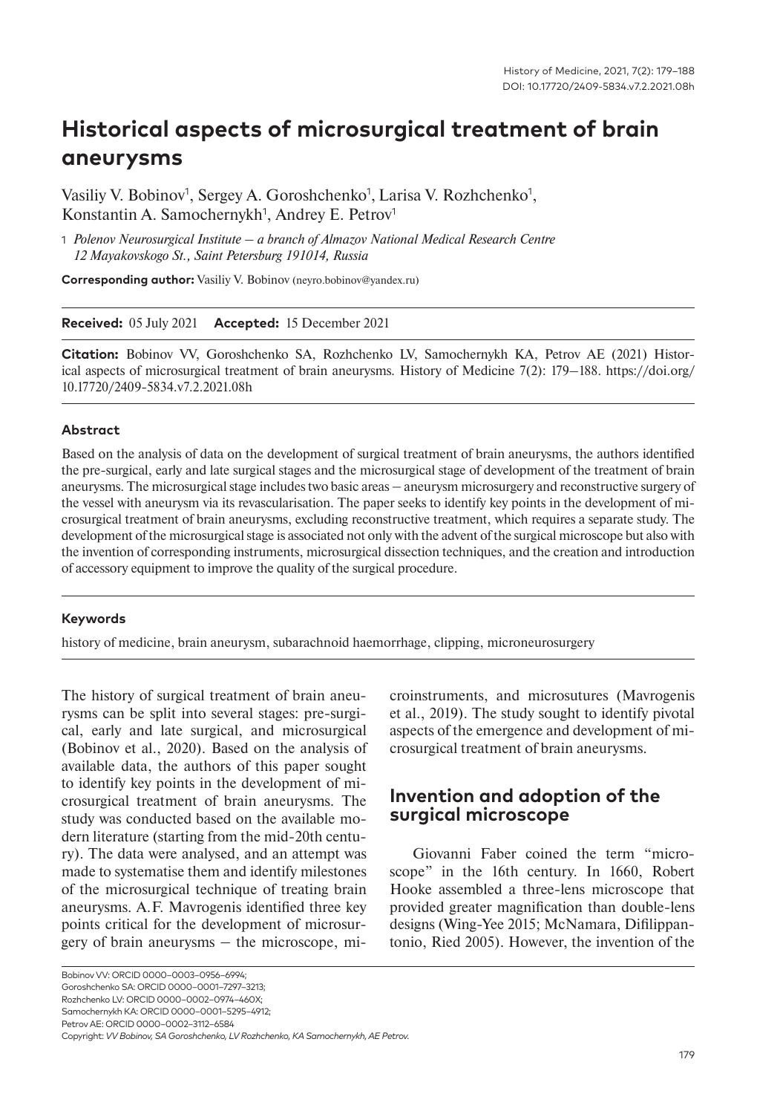# **Historical aspects of microsurgical treatment of brain aneurysms**

Vasiliy V. Bobinov<sup>1</sup>, Sergey A. Goroshchenko<sup>1</sup>, Larisa V. Rozhchenko<sup>1</sup>, Konstantin A. Samochernykh<sup>1</sup>, Andrey E. Petrov<sup>1</sup>

1 *Polenov Neurosurgical Institute – a branch of Almazov National Medical Research Centre 12 Mayakovskogo St., Saint Petersburg 191014, Russia*

**Corresponding author:** Vasiliy V. Bobinov (neyro.bobinov@yandex.ru)

#### **Received:** 05 July 2021 **Accepted:** 15 December 2021

**Citation:** Bobinov VV, Goroshchenko SA, Rozhchenko LV, Samochernykh KA, Petrov AE (2021) Historical aspects of microsurgical treatment of brain aneurysms. History of Medicine 7(2): 179–188. https://doi.org/ 10.17720/2409-5834.v7.2.2021.08h

#### **Abstract**

Based on the analysis of data on the development of surgical treatment of brain aneurysms, the authors identified the pre-surgical, early and late surgical stages and the microsurgical stage of development of the treatment of brain aneurysms. The microsurgical stage includes two basic areas — aneurysm microsurgery and reconstructive surgery of the vessel with aneurysm via its revascularisation. The paper seeks to identify key points in the development of microsurgical treatment of brain aneurysms, excluding reconstructive treatment, which requires a separate study. The development of the microsurgical stage is associated not only with the advent of the surgical microscope but also with the invention of corresponding instruments, microsurgical dissection techniques, and the creation and introduction of accessory equipment to improve the quality of the surgical procedure.

#### **Keywords**

history of medicine, brain aneurysm, subarachnoid haemorrhage, clipping, microneurosurgery

The history of surgical treatment of brain aneurysms can be split into several stages: pre-surgical, early and late surgical, and microsurgical (Bobinov et al., 2020). Based on the analysis of available data, the authors of this paper sought to identify key points in the development of microsurgical treatment of brain aneurysms. The study was conducted based on the available modern literature (starting from the mid-20th century). The data were analysed, and an attempt was made to systematise them and identify milestones of the microsurgical technique of treating brain aneurysms. A.F. Mavrogenis identified three key points critical for the development of microsur $g$ ery of brain aneurysms  $-$  the microscope, microinstruments, and microsutures (Mavrogenis et al., 2019). The study sought to identify pivotal aspects of the emergence and development of microsurgical treatment of brain aneurysms.

### **Invention and adoption of the surgical microscope**

Giovanni Faber coined the term "microscope" in the 16th century. In 1660, Robert Hooke assembled a three-lens microscope that provided greater magnification than double-lens designs (Wing-Yee 2015; McNamara, Difilippantonio, Ried 2005). However, the invention of the

Bobinov VV: ORCID 0000–0003–0956–6994; Goroshchenko SA: ORCID 0000–0001–7297–3213; Rozhchenko LV: ORCID 0000–0002–0974–460X; Samochernykh KA: ORCID 0000–0001–5295–4912; Petrov AE: ORCID 0000–0002–3112–6584 Copyright: *VV Bobinov, SA Goroshchenko, LV Rozhchenko, KA Samochernykh, AE Petrov.*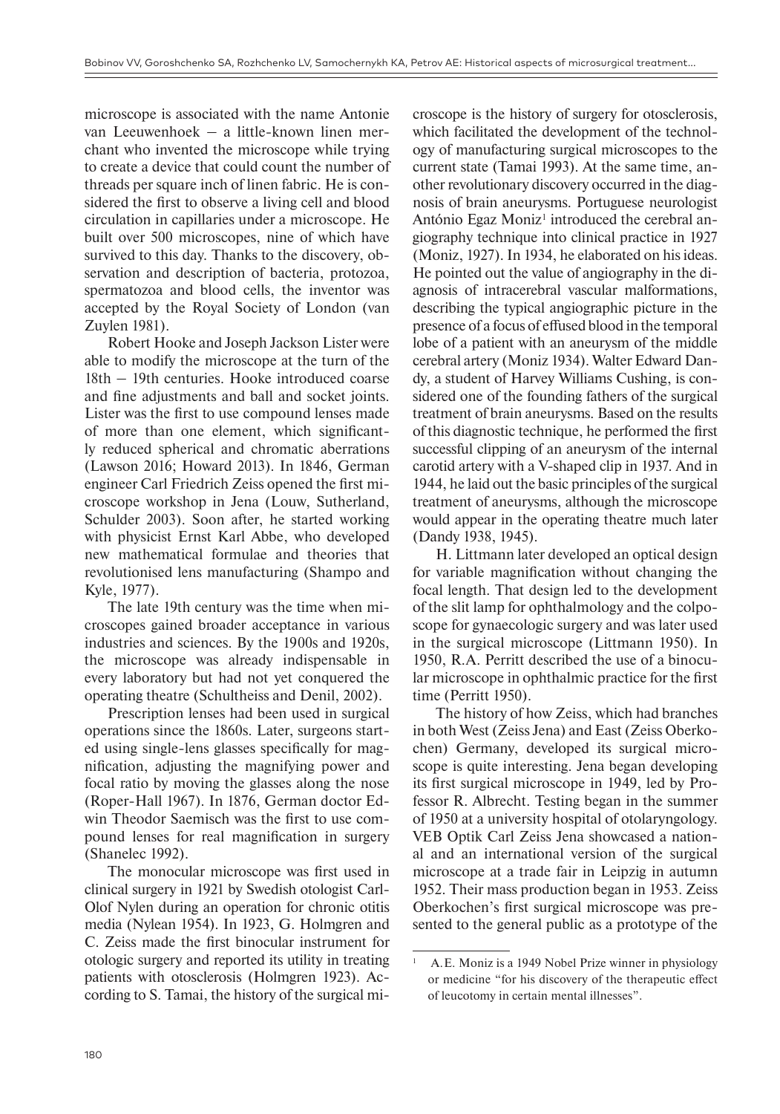microscope is associated with the name Antonie van Leeuwenhoek  $-$  a little-known linen merchant who invented the microscope while trying to create a device that could count the number of threads per square inch of linen fabric. He is considered the first to observe a living cell and blood circulation in capillaries under a microscope. He built over 500 microscopes, nine of which have survived to this day. Thanks to the discovery, observation and description of bacteria, protozoa, spermatozoa and blood cells, the inventor was accepted by the Royal Society of London (van Zuylen 1981).

Robert Hooke and Joseph Jackson Lister were able to modify the microscope at the turn of the 18th ‒ 19th centuries. Hooke introduced coarse and fine adjustments and ball and socket joints. Lister was the first to use compound lenses made of more than one element, which significantly reduced spherical and chromatic aberrations (Lawson 2016; Howard 2013). In 1846, German engineer Carl Friedrich Zeiss opened the first microscope workshop in Jena (Louw, Sutherland, Schulder 2003). Soon after, he started working with physicist Ernst Karl Abbe, who developed new mathematical formulae and theories that revolutionised lens manufacturing (Shampo and Kyle, 1977).

The late 19th century was the time when microscopes gained broader acceptance in various industries and sciences. By the 1900s and 1920s, the microscope was already indispensable in every laboratory but had not yet conquered the operating theatre (Schultheiss and Denil, 2002).

Prescription lenses had been used in surgical operations since the 1860s. Later, surgeons started using single-lens glasses specifically for magnification, adjusting the magnifying power and focal ratio by moving the glasses along the nose (Roper-Hall 1967). In 1876, German doctor Edwin Theodor Saemisch was the first to use compound lenses for real magnification in surgery (Shanelec 1992).

The monocular microscope was first used in clinical surgery in 1921 by Swedish otologist Carl-Olof Nylen during an operation for chronic otitis media (Nylean 1954). In 1923, G. Holmgren and C. Zeiss made the first binocular instrument for otologic surgery and reported its utility in treating patients with otosclerosis (Holmgren 1923). According to S. Tamai, the history of the surgical microscope is the history of surgery for otosclerosis, which facilitated the development of the technology of manufacturing surgical microscopes to the current state (Tamai 1993). At the same time, another revolutionary discovery occurred in the diagnosis of brain aneurysms. Portuguese neurologist António Egaz Moniz<sup>1</sup> introduced the cerebral angiography technique into clinical practice in 1927 (Moniz, 1927). In 1934, he elaborated on his ideas. He pointed out the value of angiography in the diagnosis of intracerebral vascular malformations, describing the typical angiographic picture in the presence of a focus of effused blood in the temporal lobe of a patient with an aneurysm of the middle cerebral artery (Moniz 1934). Walter Edward Dandy, a student of Harvey Williams Cushing, is considered one of the founding fathers of the surgical treatment of brain aneurysms. Based on the results of this diagnostic technique, he performed the first successful clipping of an aneurysm of the internal carotid artery with a V-shaped clip in 1937. And in 1944, he laid out the basic principles of the surgical treatment of aneurysms, although the microscope would appear in the operating theatre much later (Dandy 1938, 1945).

H. Littmann later developed an optical design for variable magnification without changing the focal length. That design led to the development of the slit lamp for ophthalmology and the colposcope for gynaecologic surgery and was later used in the surgical microscope (Littmann 1950). In 1950, R.A. Perritt described the use of a binocular microscope in ophthalmic practice for the first time (Perritt 1950).

The history of how Zeiss, which had branches in both West (Zeiss Jena) and East (Zeiss Oberkochen) Germany, developed its surgical microscope is quite interesting. Jena began developing its first surgical microscope in 1949, led by Professor R. Albrecht. Testing began in the summer of 1950 at a university hospital of otolaryngology. VEB Optik Carl Zeiss Jena showcased a national and an international version of the surgical microscope at a trade fair in Leipzig in autumn 1952. Their mass production began in 1953. Zeiss Oberkochen's first surgical microscope was presented to the general public as a prototype of the

A.E. Moniz is a 1949 Nobel Prize winner in physiology or medicine "for his discovery of the therapeutic effect of leucotomy in certain mental illnesses".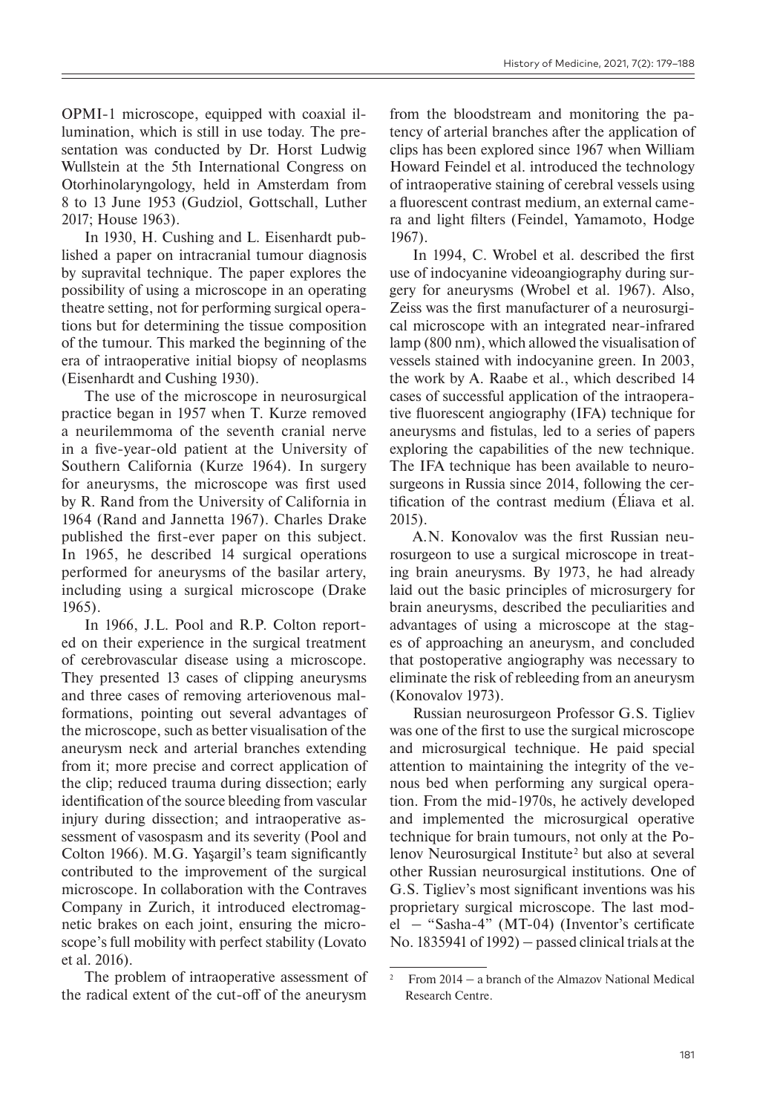OPMI-1 microscope, equipped with coaxial illumination, which is still in use today. The presentation was conducted by Dr. Horst Ludwig Wullstein at the 5th International Congress on Otorhinolaryngology, held in Amsterdam from 8 to 13 June 1953 (Gudziol, Gottschall, Luther 2017; House 1963).

In 1930, H. Cushing and L. Eisenhardt published a paper on intracranial tumour diagnosis by supravital technique. The paper explores the possibility of using a microscope in an operating theatre setting, not for performing surgical operations but for determining the tissue composition of the tumour. This marked the beginning of the era of intraoperative initial biopsy of neoplasms (Eisenhardt and Cushing 1930).

The use of the microscope in neurosurgical practice began in 1957 when T. Kurze removed a neurilemmoma of the seventh cranial nerve in a five-year-old patient at the University of Southern California (Kurze 1964). In surgery for aneurysms, the microscope was first used by R. Rand from the University of California in 1964 (Rand and Jannetta 1967). Charles Drake published the first-ever paper on this subject. In 1965, he described 14 surgical operations performed for aneurysms of the basilar artery, including using a surgical microscope (Drake 1965).

In 1966, J.L. Pool and R.P. Colton reported on their experience in the surgical treatment of cerebrovascular disease using a microscope. They presented 13 cases of clipping aneurysms and three cases of removing arteriovenous malformations, pointing out several advantages of the microscope, such as better visualisation of the aneurysm neck and arterial branches extending from it; more precise and correct application of the clip; reduced trauma during dissection; early identification of the source bleeding from vascular injury during dissection; and intraoperative assessment of vasospasm and its severity (Pool and Colton 1966). M.G. Yaşargil's team significantly contributed to the improvement of the surgical microscope. In collaboration with the Contraves Company in Zurich, it introduced electromagnetic brakes on each joint, ensuring the microscope's full mobility with perfect stability (Lovato et al. 2016).

The problem of intraoperative assessment of the radical extent of the cut-off of the aneurysm

from the bloodstream and monitoring the patency of arterial branches after the application of clips has been explored since 1967 when William Howard Feindel et al. introduced the technology of intraoperative staining of cerebral vessels using a fluorescent contrast medium, an external camera and light filters (Feindel, Yamamoto, Hodge 1967).

In 1994, C. Wrobel et al. described the first use of indocyanine videoangiography during surgery for aneurysms (Wrobel et al. 1967). Also, Zeiss was the first manufacturer of a neurosurgical microscope with an integrated near-infrared lamp (800 nm), which allowed the visualisation of vessels stained with indocyanine green. In 2003, the work by A. Raabe et al., which described 14 cases of successful application of the intraoperative fluorescent angiography (IFA) technique for aneurysms and fistulas, led to a series of papers exploring the capabilities of the new technique. The IFA technique has been available to neurosurgeons in Russia since 2014, following the certification of the contrast medium (Éliava et al. 2015).

A.N. Konovalov was the first Russian neurosurgeon to use a surgical microscope in treating brain aneurysms. By 1973, he had already laid out the basic principles of microsurgery for brain aneurysms, described the peculiarities and advantages of using a microscope at the stages of approaching an aneurysm, and concluded that postoperative angiography was necessary to eliminate the risk of rebleeding from an aneurysm (Konovalov 1973).

Russian neurosurgeon Professor G.S. Tigliev was one of the first to use the surgical microscope and microsurgical technique. He paid special attention to maintaining the integrity of the venous bed when performing any surgical operation. From the mid-1970s, he actively developed and implemented the microsurgical operative technique for brain tumours, not only at the Polenov Neurosurgical Institute<sup>2</sup> but also at several other Russian neurosurgical institutions. One of G.S. Tigliev's most significant inventions was his proprietary surgical microscope. The last model ‒ "Sasha-4" (MT-04) (Inventor's certificate No. 1835941 of 1992)  $-$  passed clinical trials at the

<sup>&</sup>lt;sup>2</sup> From 2014 – a branch of the Almazov National Medical Research Centre.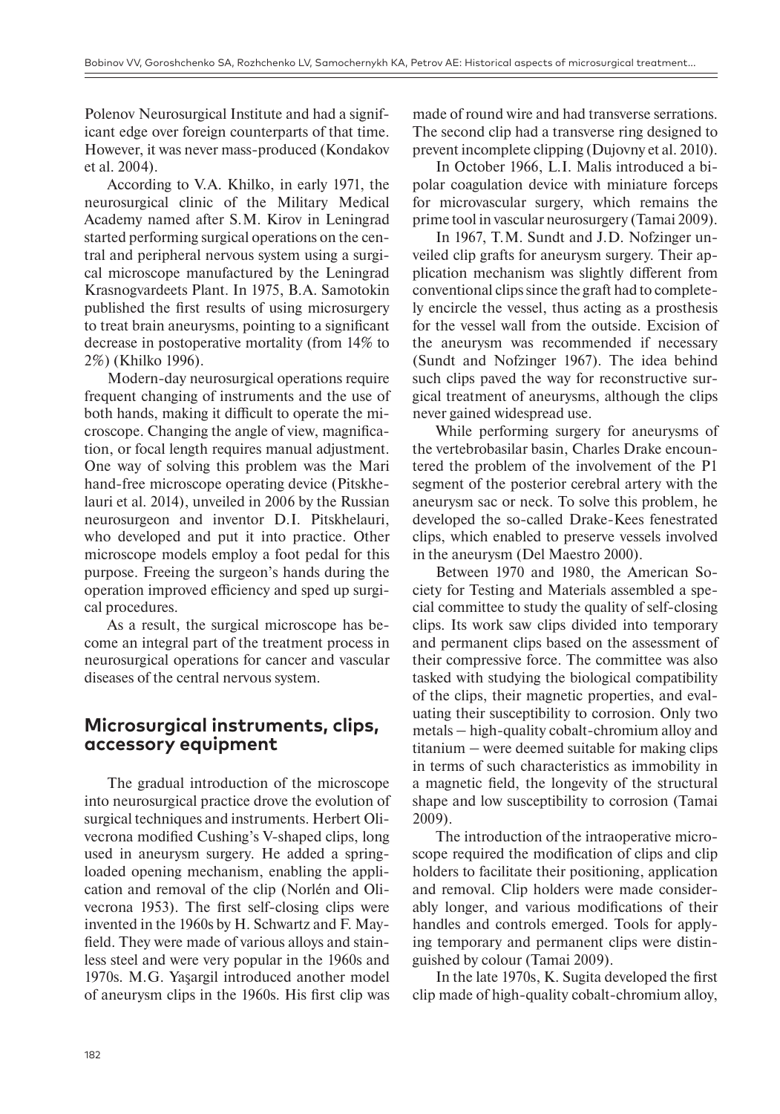Polenov Neurosurgical Institute and had a significant edge over foreign counterparts of that time. However, it was never mass-produced (Kondakov et al. 2004).

According to V.A. Khilko, in early 1971, the neurosurgical clinic of the Military Medical Academy named after S.M. Kirov in Leningrad started performing surgical operations on the central and peripheral nervous system using a surgical microscope manufactured by the Leningrad Krasnogvardeets Plant. In 1975, B.A. Samotokin published the first results of using microsurgery to treat brain aneurysms, pointing to a significant decrease in postoperative mortality (from 14% to 2%) (Khilko 1996).

Modern-day neurosurgical operations require frequent changing of instruments and the use of both hands, making it difficult to operate the microscope. Changing the angle of view, magnification, or focal length requires manual adjustment. One way of solving this problem was the Mari hand-free microscope operating device (Pitskhelauri et al. 2014), unveiled in 2006 by the Russian neurosurgeon and inventor D.I. Pitskhelauri, who developed and put it into practice. Other microscope models employ a foot pedal for this purpose. Freeing the surgeon's hands during the operation improved efficiency and sped up surgical procedures.

As a result, the surgical microscope has become an integral part of the treatment process in neurosurgical operations for cancer and vascular diseases of the central nervous system.

### **Microsurgical instruments, clips, accessory equipment**

The gradual introduction of the microscope into neurosurgical practice drove the evolution of surgical techniques and instruments. Herbert Olivecrona modified Cushing's V-shaped clips, long used in aneurysm surgery. He added a springloaded opening mechanism, enabling the application and removal of the clip (Norlén and Olivecrona 1953). The first self-closing clips were invented in the 1960s by H. Schwartz and F. Mayfield. They were made of various alloys and stainless steel and were very popular in the 1960s and 1970s. M.G. Yaşargil introduced another model of aneurysm clips in the 1960s. His first clip was

made of round wire and had transverse serrations. The second clip had a transverse ring designed to prevent incomplete clipping (Dujovny et al. 2010).

In October 1966, L.I. Malis introduced a bipolar coagulation device with miniature forceps for microvascular surgery, which remains the prime tool in vascular neurosurgery (Tamai 2009).

In 1967, T.M. Sundt and J.D. Nofzinger unveiled clip grafts for aneurysm surgery. Their application mechanism was slightly different from conventional clips since the graft had to completely encircle the vessel, thus acting as a prosthesis for the vessel wall from the outside. Excision of the aneurysm was recommended if necessary (Sundt and Nofzinger 1967). The idea behind such clips paved the way for reconstructive surgical treatment of aneurysms, although the clips never gained widespread use.

While performing surgery for aneurysms of the vertebrobasilar basin, Charles Drake encountered the problem of the involvement of the P1 segment of the posterior cerebral artery with the aneurysm sac or neck. To solve this problem, he developed the so-called Drake-Kees fenestrated clips, which enabled to preserve vessels involved in the aneurysm (Del Maestro 2000).

Between 1970 and 1980, the American Society for Testing and Materials assembled a special committee to study the quality of self-closing clips. Its work saw clips divided into temporary and permanent clips based on the assessment of their compressive force. The committee was also tasked with studying the biological compatibility of the clips, their magnetic properties, and evaluating their susceptibility to corrosion. Only two metals ‒ high-quality cobalt-chromium alloy and  $t$ itanium  $-$  were deemed suitable for making clips in terms of such characteristics as immobility in a magnetic field, the longevity of the structural shape and low susceptibility to corrosion (Tamai 2009).

The introduction of the intraoperative microscope required the modification of clips and clip holders to facilitate their positioning, application and removal. Clip holders were made considerably longer, and various modifications of their handles and controls emerged. Tools for applying temporary and permanent clips were distinguished by colour (Tamai 2009).

In the late 1970s, K. Sugita developed the first clip made of high-quality cobalt-chromium alloy,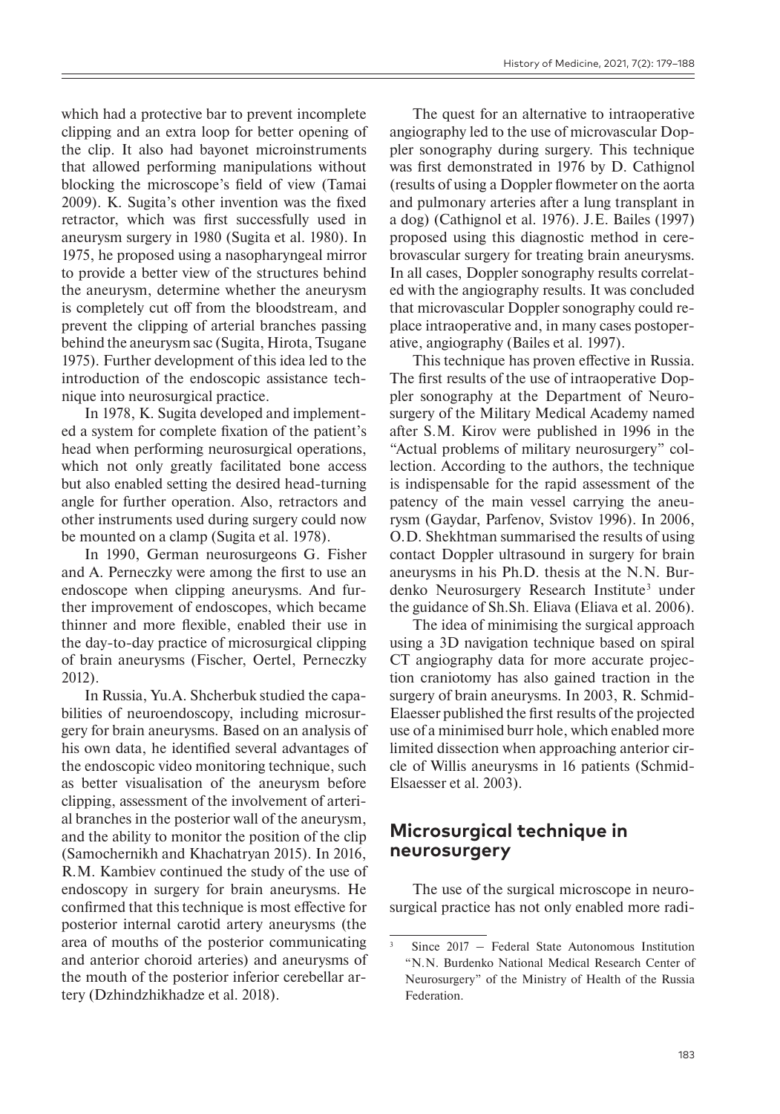which had a protective bar to prevent incomplete clipping and an extra loop for better opening of the clip. It also had bayonet microinstruments that allowed performing manipulations without blocking the microscope's field of view (Tamai 2009). K. Sugita's other invention was the fixed retractor, which was first successfully used in aneurysm surgery in 1980 (Sugita et al. 1980). In 1975, he proposed using a nasopharyngeal mirror to provide a better view of the structures behind the aneurysm, determine whether the aneurysm is completely cut off from the bloodstream, and prevent the clipping of arterial branches passing behind the aneurysm sac (Sugita, Hirota, Tsugane 1975). Further development of this idea led to the introduction of the endoscopic assistance technique into neurosurgical practice.

In 1978, K. Sugita developed and implemented a system for complete fixation of the patient's head when performing neurosurgical operations, which not only greatly facilitated bone access but also enabled setting the desired head-turning angle for further operation. Also, retractors and other instruments used during surgery could now be mounted on a clamp (Sugita et al. 1978).

In 1990, German neurosurgeons G. Fisher and A. Perneczky were among the first to use an endoscope when clipping aneurysms. And further improvement of endoscopes, which became thinner and more flexible, enabled their use in the day-to-day practice of microsurgical clipping of brain aneurysms (Fischer, Oertel, Perneczky 2012).

In Russia, Yu.A. Shcherbuk studied the capabilities of neuroendoscopy, including microsurgery for brain aneurysms. Based on an analysis of his own data, he identified several advantages of the endoscopic video monitoring technique, such as better visualisation of the aneurysm before clipping, assessment of the involvement of arterial branches in the posterior wall of the aneurysm, and the ability to monitor the position of the clip (Samochernikh and Khachatryan 2015). In 2016, R.M. Kambiev continued the study of the use of endoscopy in surgery for brain aneurysms. He confirmed that this technique is most effective for posterior internal carotid artery aneurysms (the area of mouths of the posterior communicating and anterior choroid arteries) and aneurysms of the mouth of the posterior inferior cerebellar artery (Dzhindzhikhadze et al. 2018).

The quest for an alternative to intraoperative angiography led to the use of microvascular Doppler sonography during surgery. This technique was first demonstrated in 1976 by D. Cathignol (results of using a Doppler flowmeter on the aorta and pulmonary arteries after a lung transplant in a dog) (Cathignol et al. 1976). J.E. Bailes (1997) proposed using this diagnostic method in cerebrovascular surgery for treating brain aneurysms. In all cases, Doppler sonography results correlated with the angiography results. It was concluded that microvascular Doppler sonography could replace intraoperative and, in many cases postoperative, angiography (Bailes et al. 1997).

This technique has proven effective in Russia. The first results of the use of intraoperative Doppler sonography at the Department of Neurosurgery of the Military Medical Academy named after S.M. Kirov were published in 1996 in the "Actual problems of military neurosurgery" collection. According to the authors, the technique is indispensable for the rapid assessment of the patency of the main vessel carrying the aneurysm (Gaydar, Parfenov, Svistov 1996). In 2006, O.D. Shekhtman summarised the results of using contact Doppler ultrasound in surgery for brain aneurysms in his Ph.D. thesis at the N.N. Burdenko Neurosurgery Research Institute<sup>3</sup> under the guidance of Sh.Sh. Eliava (Eliava et al. 2006).

The idea of minimising the surgical approach using a 3D navigation technique based on spiral CT angiography data for more accurate projection craniotomy has also gained traction in the surgery of brain aneurysms. In 2003, R. Schmid-Elaesser published the first results of the projected use of a minimised burr hole, which enabled more limited dissection when approaching anterior circle of Willis aneurysms in 16 patients (Schmid-Elsaesser et al. 2003).

### **Microsurgical technique in neurosurgery**

The use of the surgical microscope in neurosurgical practice has not only enabled more radi-

<sup>3</sup> Since 2017 ‒ Federal State Autonomous Institution "N.N. Burdenko National Medical Research Center of Neurosurgery" of the Ministry of Health of the Russia Federation.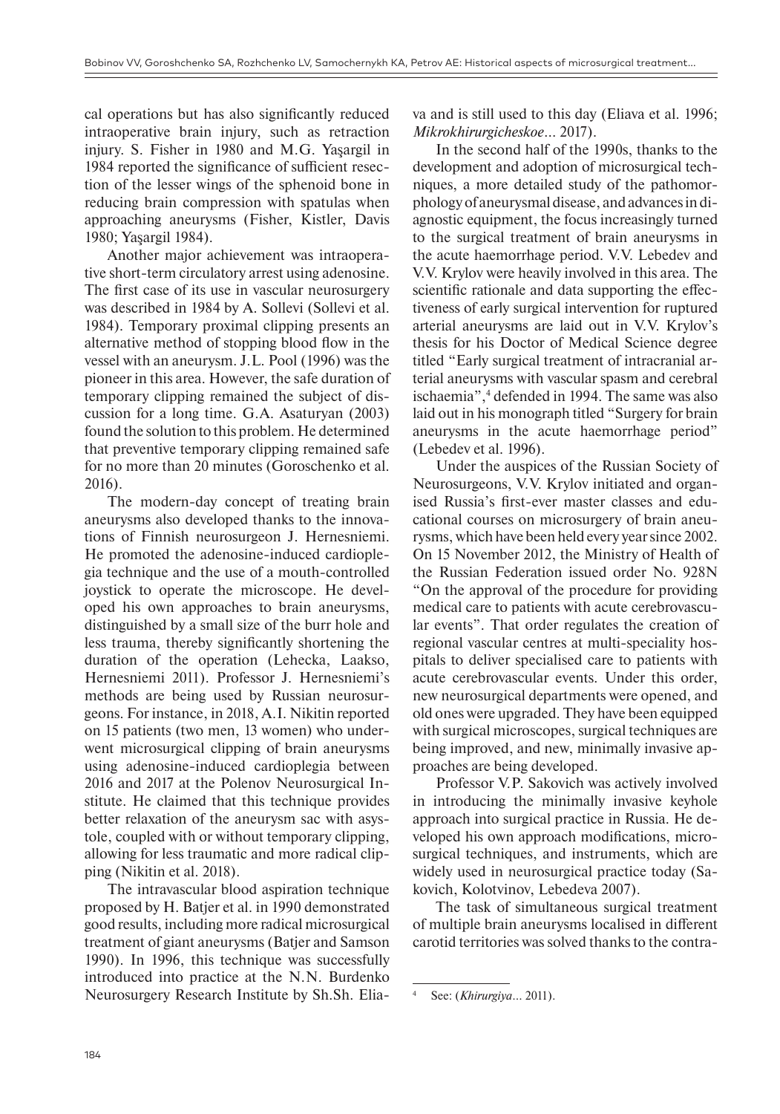cal operations but has also significantly reduced intraoperative brain injury, such as retraction injury. S. Fisher in 1980 and M.G. Yaşargil in 1984 reported the significance of sufficient resection of the lesser wings of the sphenoid bone in reducing brain compression with spatulas when approaching aneurysms (Fisher, Kistler, Davis 1980; Yaşargil 1984).

Another major achievement was intraoperative short-term circulatory arrest using adenosine. The first case of its use in vascular neurosurgery was described in 1984 by A. Sollevi (Sollevi et al. 1984). Temporary proximal clipping presents an alternative method of stopping blood flow in the vessel with an aneurysm. J.L. Pool (1996) was the pioneer in this area. However, the safe duration of temporary clipping remained the subject of discussion for a long time. G.A. Asaturyan (2003) found the solution to this problem. He determined that preventive temporary clipping remained safe for no more than 20 minutes (Goroschenko et al. 2016).

The modern-day concept of treating brain aneurysms also developed thanks to the innovations of Finnish neurosurgeon J. Hernesniemi. He promoted the adenosine-induced cardioplegia technique and the use of a mouth-controlled joystick to operate the microscope. He developed his own approaches to brain aneurysms, distinguished by a small size of the burr hole and less trauma, thereby significantly shortening the duration of the operation (Lehecka, Laakso, Hernesniemi 2011). Professor J. Hernesniemi's methods are being used by Russian neurosurgeons. For instance, in 2018, A.I. Nikitin reported on 15 patients (two men, 13 women) who underwent microsurgical clipping of brain aneurysms using adenosine-induced cardioplegia between 2016 and 2017 at the Polenov Neurosurgical Institute. He claimed that this technique provides better relaxation of the aneurysm sac with asystole, coupled with or without temporary clipping, allowing for less traumatic and more radical clipping (Nikitin et al. 2018).

The intravascular blood aspiration technique proposed by H. Batjer et al. in 1990 demonstrated good results, including more radical microsurgical treatment of giant aneurysms (Batjer and Samson 1990). In 1996, this technique was successfully introduced into practice at the N.N. Burdenko Neurosurgery Research Institute by Sh.Sh. Eliava and is still used to this day (Eliava et al. 1996; *Mikrokhirurgicheskoe*… 2017).

In the second half of the 1990s, thanks to the development and adoption of microsurgical techniques, a more detailed study of the pathomorphology of aneurysmal disease, and advances in diagnostic equipment, the focus increasingly turned to the surgical treatment of brain aneurysms in the acute haemorrhage period. V.V. Lebedev and V.V. Krylov were heavily involved in this area. The scientific rationale and data supporting the effectiveness of early surgical intervention for ruptured arterial aneurysms are laid out in V.V. Krylov's thesis for his Doctor of Medical Science degree titled "Early surgical treatment of intracranial arterial aneurysms with vascular spasm and cerebral ischaemia",4 defended in 1994. The same was also laid out in his monograph titled "Surgery for brain aneurysms in the acute haemorrhage period" (Lebedev et al. 1996).

Under the auspices of the Russian Society of Neurosurgeons, V.V. Krylov initiated and organised Russia's first-ever master classes and educational courses on microsurgery of brain aneurysms, which have been held every year since 2002. On 15 November 2012, the Ministry of Health of the Russian Federation issued order No. 928N "On the approval of the procedure for providing medical care to patients with acute cerebrovascular events". That order regulates the creation of regional vascular centres at multi-speciality hospitals to deliver specialised care to patients with acute cerebrovascular events. Under this order, new neurosurgical departments were opened, and old ones were upgraded. They have been equipped with surgical microscopes, surgical techniques are being improved, and new, minimally invasive approaches are being developed.

Professor V.P. Sakovich was actively involved in introducing the minimally invasive keyhole approach into surgical practice in Russia. He developed his own approach modifications, microsurgical techniques, and instruments, which are widely used in neurosurgical practice today (Sakovich, Kolotvinov, Lebedeva 2007).

The task of simultaneous surgical treatment of multiple brain aneurysms localised in different carotid territories was solved thanks to the contra-

<sup>4</sup> See: (*Khirurgiya*… 2011).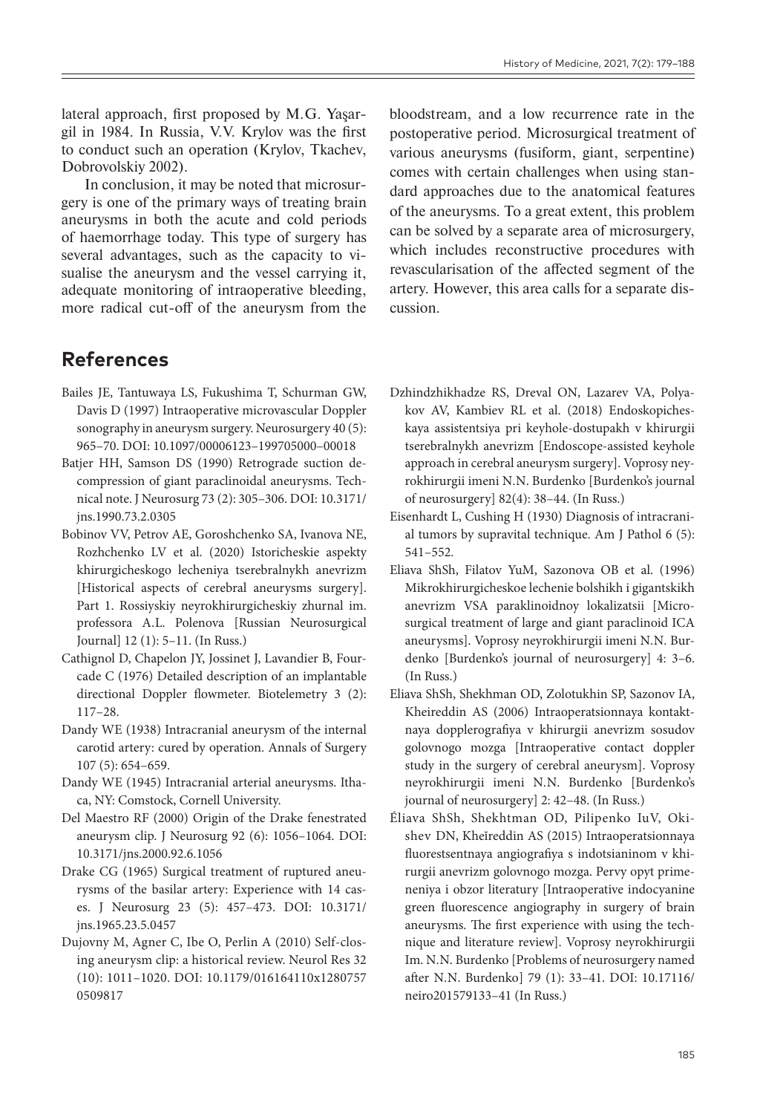lateral approach, first proposed by M.G. Yaşargil in 1984. In Russia, V.V. Krylov was the first to conduct such an operation (Krylov, Tkachev, Dobrovolskiy 2002).

In conclusion, it may be noted that microsurgery is one of the primary ways of treating brain aneurysms in both the acute and cold periods of haemorrhage today. This type of surgery has several advantages, such as the capacity to visualise the aneurysm and the vessel carrying it, adequate monitoring of intraoperative bleeding, more radical cut-off of the aneurysm from the

bloodstream, and a low recurrence rate in the postoperative period. Microsurgical treatment of various aneurysms (fusiform, giant, serpentine) comes with certain challenges when using standard approaches due to the anatomical features of the aneurysms. To a great extent, this problem can be solved by a separate area of microsurgery, which includes reconstructive procedures with revascularisation of the affected segment of the artery. However, this area calls for a separate discussion.

# **References**

- Bailes JE, Tantuwaya LS, Fukushima T, Schurman GW, Davis D (1997) Intraoperative microvascular Doppler sonography in aneurysm surgery. Neurosurgery 40 (5): 965–70. DOI: 10.1097/00006123–199705000–00018
- Batjer HH, Samson DS (1990) Retrograde suction decompression of giant paraclinoidal aneurysms. Technical note. J Neurosurg 73 (2): 305–306. DOI: 10.3171/ jns.1990.73.2.0305
- Bobinov VV, Petrov AE, Goroshchenko SA, Ivanova NE, Rozhchenko LV et al. (2020) Istoricheskie aspekty khirurgicheskogo lecheniya tserebralnykh anevrizm [Historical aspects of cerebral aneurysms surgery]. Part 1. Rossiyskiy neyrokhirurgicheskiy zhurnal im. professora A.L. Polenova [Russian Neurosurgical Journal] 12 (1): 5–11. (In Russ.)
- Cathignol D, Chapelon JY, Jossinet J, Lavandier B, Fourcade C (1976) Detailed description of an implantable directional Doppler flowmeter. Biotelemetry 3 (2): 117–28.
- Dandy WE (1938) Intracranial aneurysm of the internal carotid artery: cured by operation. Annals of Surgery 107 (5): 654–659.
- Dandy WE (1945) Intracranial arterial aneurysms. Ithaca, NY: Comstock, Cornell University.
- Del Maestro RF (2000) Origin of the Drake fenestrated aneurysm clip. J Neurosurg 92 (6): 1056–1064. DOI: 10.3171/jns.2000.92.6.1056
- Drake CG (1965) Surgical treatment of ruptured aneurysms of the basilar artery: Experience with 14 cases. J Neurosurg 23 (5): 457–473. DOI: 10.3171/ jns.1965.23.5.0457
- Dujovny M, Agner C, Ibe O, Perlin A (2010) Self-closing aneurysm clip: a historical review. Neurol Res 32 (10): 1011–1020. DOI: 10.1179/016164110x1280757 0509817
- Dzhindzhikhadze RS, Dreval ON, Lazarev VA, Polyakov AV, Kambiev RL et al. (2018) Endoskopicheskaya assistentsiya pri keyhole-dostupakh v khirurgii tserebralnykh anevrizm [Endoscope-assisted keyhole approach in cerebral aneurysm surgery]. Voprosy neyrokhirurgii imeni N.N. Burdenko [Burdenko's journal of neurosurgery] 82(4): 38–44. (In Russ.)
- Eisenhardt L, Cushing H (1930) Diagnosis of intracranial tumors by supravital technique. Am J Pathol 6 (5): 541–552.
- Eliava ShSh, Filatov YuM, Sazonova OB et al. (1996) Mikrokhirurgicheskoe lechenie bolshikh i gigantskikh anevrizm VSA paraklinoidnoy lokalizatsii [Microsurgical treatment of large and giant paraclinoid ICA aneurysms]. Voprosy neyrokhirurgii imeni N.N. Burdenko [Burdenko's journal of neurosurgery] 4: 3–6. (In Russ.)
- Eliava ShSh, Shekhman OD, Zolotukhin SP, Sazonov IA, Kheireddin AS (2006) Intraoperatsionnaya kontaktnaya dopplerografiya v khirurgii anevrizm sosudov golovnogo mozga [Intraoperative contact doppler study in the surgery of cerebral aneurysm]. Voprosy neyrokhirurgii imeni N.N. Burdenko [Burdenko's journal of neurosurgery] 2: 42–48. (In Russ.)
- Éliava ShSh, Shekhtman OD, Pilipenko IuV, Okishev DN, Kheĭreddin AS (2015) Intraoperatsionnaya fluorestsentnaya angiografiya s indotsianinom v khirurgii anevrizm golovnogo mozga. Pervy opyt primeneniya i obzor literatury [Intraoperative indocyanine green fluorescence angiography in surgery of brain aneurysms. The first experience with using the technique and literature review]. Voprosy neyrokhirurgii Im. N.N. Burdenko [Problems of neurosurgery named after N.N. Burdenko] 79 (1): 33–41. DOI: 10.17116/ neiro201579133–41 (In Russ.)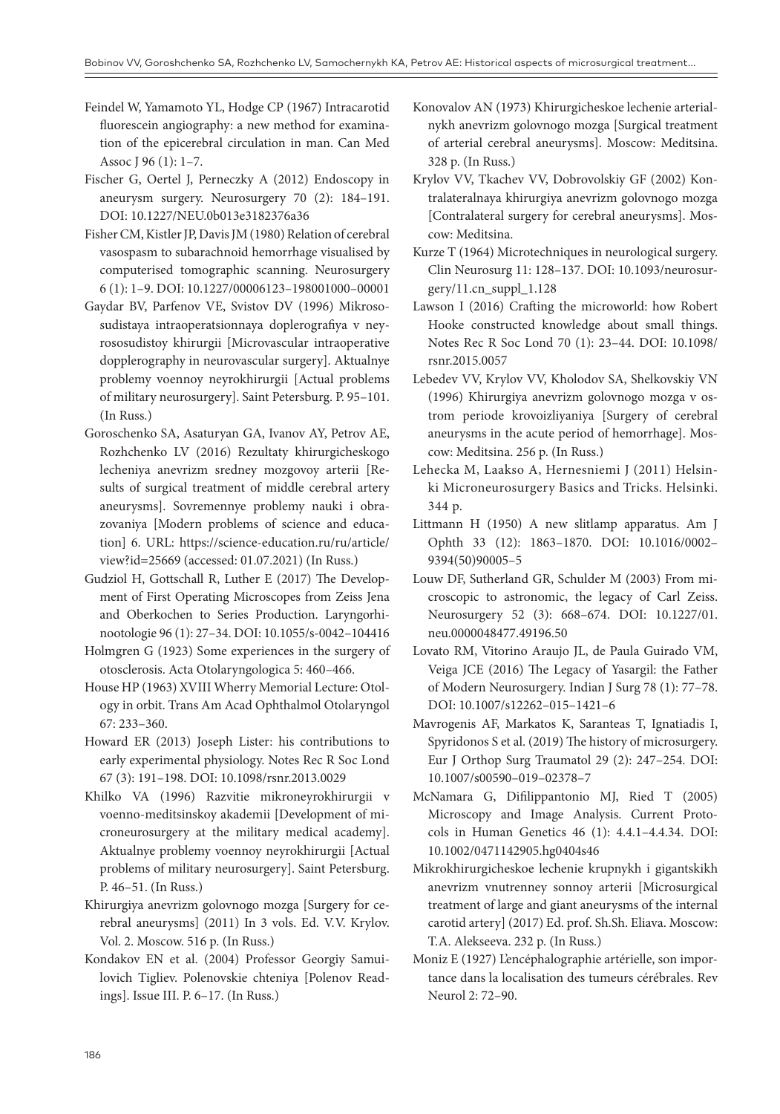- Feindel W, Yamamoto YL, Hodge CP (1967) Intracarotid fluorescein angiography: a new method for examination of the epicerebral circulation in man. Can Med Assoc J 96 (1): 1–7.
- Fischer G, Oertel J, Perneczky A (2012) Endoscopy in aneurysm surgery. Neurosurgery 70 (2): 184–191. DOI: 10.1227/NEU.0b013e3182376a36
- Fisher CM, Kistler JP, Davis JM (1980) Relation of cerebral vasospasm to subarachnoid hemorrhage visualised by computerised tomographic scanning. Neurosurgery 6 (1): 1–9. DOI: 10.1227/00006123–198001000–00001
- Gaydar BV, Parfenov VE, Svistov DV (1996) Mikrososudistaya intraoperatsionnaya doplerografiya v neyrososudistoy khirurgii [Microvascular intraoperative dopplerography in neurovascular surgery]. Aktualnye problemy voennoy neyrokhirurgii [Actual problems of military neurosurgery]. Saint Petersburg. P. 95–101. (In Russ.)
- Goroschenko SA, Asaturyan GA, Ivanov AY, Petrov AE, Rozhchenko LV (2016) Rezultaty khirurgicheskogo lecheniya anevrizm sredney mozgovoy arterii [Results of surgical treatment of middle cerebral artery aneurysms]. Sovremennye problemy nauki i obrazovaniya [Modern problems of science and education] 6. URL: https://science-education.ru/ru/article/ view?id=25669 (accessed: 01.07.2021) (In Russ.)
- Gudziol H, Gottschall R, Luther E (2017) The Development of First Operating Microscopes from Zeiss Jena and Oberkochen to Series Production. Laryngorhinootologie 96 (1): 27-34. DOI: 10.1055/s-0042-104416
- Holmgren G (1923) Some experiences in the surgery of otosclerosis. Acta Otolaryngologica 5: 460–466.
- House HP (1963) XVIII Wherry Memorial Lecture: Otology in orbit. Trans Am Acad Ophthalmol Otolaryngol 67: 233–360.
- Howard ER (2013) Joseph Lister: his contributions to early experimental physiology. Notes Rec R Soc Lond 67 (3): 191–198. DOI: 10.1098/rsnr.2013.0029
- Khilko VA (1996) Razvitie mikroneyrokhirurgii v voenno-meditsinskoy akademii [Development of microneurosurgery at the military medical academy]. Aktualnye problemy voennoy neyrokhirurgii [Actual problems of military neurosurgery]. Saint Petersburg. P. 46–51. (In Russ.)
- Khirurgiya anevrizm golovnogo mozga [Surgery for cerebral aneurysms] (2011) In 3 vols. Ed. V.V. Krylov. Vol. 2. Moscow. 516 p. (In Russ.)
- Kondakov EN et al. (2004) Professor Georgiy Samuilovich Tigliev. Polenovskie chteniya [Polenov Readings]. Issue III. P. 6–17. (In Russ.)
- Konovalov AN (1973) Khirurgicheskoe lechenie arterialnykh anevrizm golovnogo mozga [Surgical treatment of arterial cerebral aneurysms]. Moscow: Meditsina. 328 p. (In Russ.)
- Krylov VV, Tkachev VV, Dobrovolskiy GF (2002) Kontralateralnaya khirurgiya anevrizm golovnogo mozga [Contralateral surgery for cerebral aneurysms]. Moscow: Meditsina.
- Kurze T (1964) Microtechniques in neurological surgery. Clin Neurosurg 11: 128–137. DOI: 10.1093/neurosurgery/11.cn\_suppl\_1.128
- Lawson I (2016) Crafting the microworld: how Robert Hooke constructed knowledge about small things. Notes Rec R Soc Lond 70 (1): 23–44. DOI: 10.1098/ rsnr.2015.0057
- Lebedev VV, Krylov VV, Kholodov SA, Shelkovskiy VN (1996) Khirurgiya anevrizm golovnogo mozga v ostrom periode krovoizliyaniya [Surgery of cerebral aneurysms in the acute period of hemorrhage]. Moscow: Meditsina. 256 p. (In Russ.)
- Lehecka M, Laakso A, Hernesniemi J (2011) Helsinki Microneurosurgery Basics and Tricks. Helsinki. 344 p.
- Littmann H (1950) A new slitlamp apparatus. Am J Ophth 33 (12): 1863–1870. DOI: 10.1016/0002– 9394(50)90005–5
- Louw DF, Sutherland GR, Schulder M (2003) From microscopic to astronomic, the legacy of Carl Zeiss. Neurosurgery 52 (3): 668–674. DOI: 10.1227/01. neu.0000048477.49196.50
- Lovato RM, Vitorino Araujo JL, de Paula Guirado VM, Veiga JCE (2016) The Legacy of Yasargil: the Father of Modern Neurosurgery. Indian J Surg 78 (1): 77–78. DOI: 10.1007/s12262–015–1421–6
- Mavrogenis AF, Markatos K, Saranteas T, Ignatiadis I, Spyridonos S et al. (2019) The history of microsurgery. Eur J Orthop Surg Traumatol 29 (2): 247–254. DOI: 10.1007/s00590–019–02378–7
- McNamara G, Difilippantonio MJ, Ried T (2005) Microscopy and Image Analysis. Current Protocols in Human Genetics 46 (1): 4.4.1–4.4.34. DOI: 10.1002/0471142905.hg0404s46
- Mikrokhirurgicheskoe lechenie krupnykh i gigantskikh anevrizm vnutrenney sonnoy arterii [Microsurgical treatment of large and giant aneurysms of the internal carotid artery] (2017) Ed. prof. Sh.Sh. Eliava. Moscow: T.A. Alekseeva. 232 p. (In Russ.)
- Moniz E (1927) L'encéphalographie artérielle, son importance dans la localisation des tumeurs cérébrales. Rev Neurol 2: 72–90.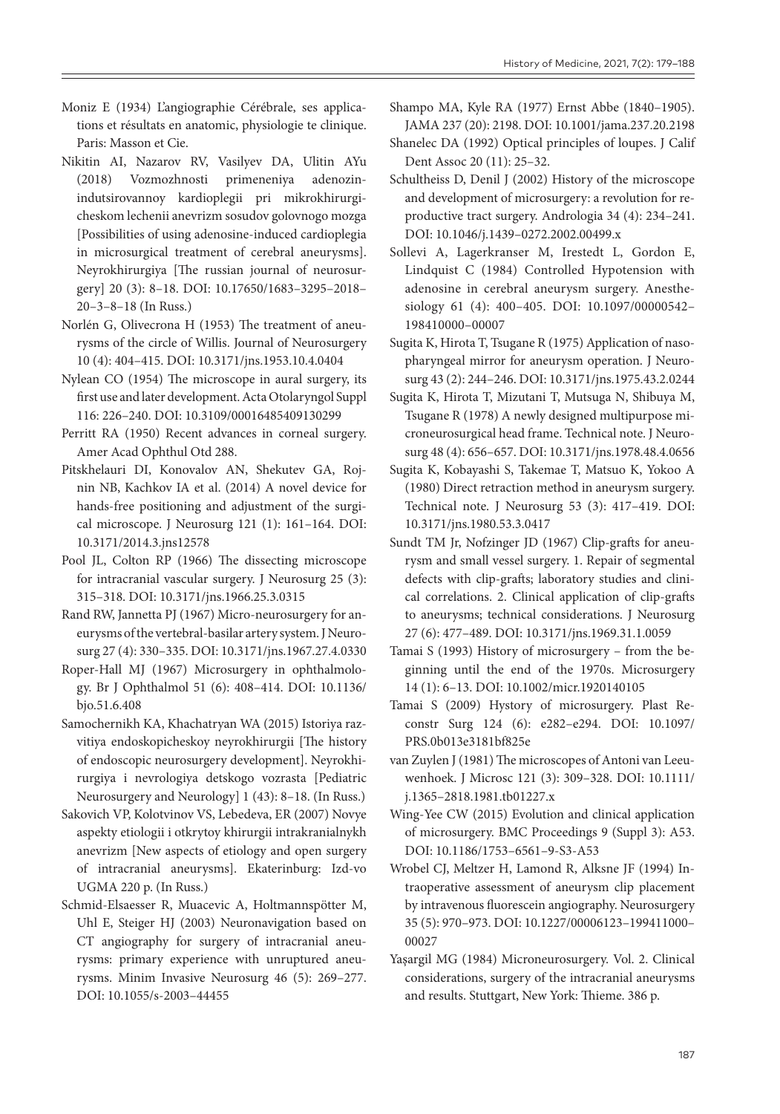- Moniz E (1934) L'angiographie Cérébrale, ses applications et résultats en anatomic, physiologie te clinique. Paris: Masson et Cie.
- Nikitin AI, Nazarov RV, Vasilyev DA, Ulitin AYu (2018) Vozmozhnosti primeneniya adenozin-indutsirovannoy kardioplegii pri mikrokhirurgicheskom lechenii anevrizm sosudov golovnogo mozga [Possibilities of using adenosine-induced cardioplegia in microsurgical treatment of cerebral aneurysms]. Neyrokhirurgiya [The russian journal of neurosurgery] 20 (3): 8–18. DOI: 10.17650/1683–3295–2018– 20–3–8–18 (In Russ.)
- Norlén G, Olivecrona H (1953) The treatment of aneurysms of the circle of Willis. Journal of Neurosurgery 10 (4): 404–415. DOI: 10.3171/jns.1953.10.4.0404
- Nylean CO (1954) The microscope in aural surgery, its first use and later development. Acta Otolaryngol Suppl 116: 226–240. DOI: 10.3109/00016485409130299
- Perritt RA (1950) Recent advances in corneal surgery. Amer Acad Ophthul Otd 288.
- Pitskhelauri DI, Konovalov AN, Shekutev GA, Rojnin NB, Kachkov IA et al. (2014) A novel device for hands-free positioning and adjustment of the surgical microscope. J Neurosurg 121 (1): 161–164. DOI: 10.3171/2014.3.jns12578
- Pool JL, Colton RP (1966) The dissecting microscope for intracranial vascular surgery. J Neurosurg 25 (3): 315–318. DOI: 10.3171/jns.1966.25.3.0315
- Rand RW, Jannetta PJ (1967) Micro-neurosurgery for aneurysms of the vertebral-basilar artery system. J Neurosurg 27 (4): 330–335. DOI: 10.3171/jns.1967.27.4.0330
- Roper-Hall MJ (1967) Microsurgery in ophthalmology. Br J Ophthalmol 51 (6): 408–414. DOI: 10.1136/ bjo.51.6.408
- Samochernikh KA, Khachatryan WA (2015) Istoriya razvitiya endoskopicheskoy neyrokhirurgii [The history of endoscopic neurosurgery development]. Neyrokhirurgiya i nevrologiya detskogo vozrasta [Pediatric Neurosurgery and Neurology] 1 (43): 8–18. (In Russ.)
- Sakovich VP, Kolotvinov VS, Lebedeva, ER (2007) Novye aspekty etiologii i otkrytoy khirurgii intrakranialnykh anevrizm [New aspects of etiology and open surgery of intracranial aneurysms]. Ekaterinburg: Izd-vo UGMA 220 p. (In Russ.)
- Schmid-Elsaesser R, Muacevic A, Holtmannspötter M, Uhl E, Steiger HJ (2003) Neuronavigation based on CT angiography for surgery of intracranial aneurysms: primary experience with unruptured aneurysms. Minim Invasive Neurosurg 46 (5): 269–277. DOI: 10.1055/s-2003-44455

Shampo MA, Kyle RA (1977) Ernst Abbe (1840–1905). JAMA 237 (20): 2198. DOI: 10.1001/jama.237.20.2198

Shanelec DA (1992) Optical principles of loupes. J Calif Dent Assoc 20 (11): 25–32.

- Schultheiss D, Denil J (2002) History of the microscope and development of microsurgery: a revolution for reproductive tract surgery. Andrologia 34 (4): 234–241. DOI: 10.1046/j.1439–0272.2002.00499.x
- Sollevi A, Lagerkranser M, Irestedt L, Gordon E, Lindquist C (1984) Controlled Hypotension with adenosine in cerebral aneurysm surgery. Anesthesiology 61 (4): 400–405. DOI: 10.1097/00000542– 198410000–00007
- Sugita K, Hirota T, Tsugane R (1975) Application of nasopharyngeal mirror for aneurysm operation. J Neurosurg 43 (2): 244–246. DOI: 10.3171/jns.1975.43.2.0244
- Sugita K, Hirota T, Mizutani T, Mutsuga N, Shibuya M, Tsugane R (1978) A newly designed multipurpose microneurosurgical head frame. Technical note. J Neurosurg 48 (4): 656–657. DOI: 10.3171/jns.1978.48.4.0656
- Sugita K, Kobayashi S, Takemae T, Matsuo K, Yokoo A (1980) Direct retraction method in aneurysm surgery. Technical note. J Neurosurg 53 (3): 417–419. DOI: 10.3171/jns.1980.53.3.0417
- Sundt TM Jr, Nofzinger JD (1967) Clip-grafts for aneurysm and small vessel surgery. 1. Repair of segmental defects with clip-grafts; laboratory studies and clinical correlations. 2. Clinical application of clip-grafts to aneurysms; technical considerations. J Neurosurg 27 (6): 477–489. DOI: 10.3171/jns.1969.31.1.0059
- Tamai S (1993) History of microsurgery from the beginning until the end of the 1970s. Microsurgery 14 (1): 6–13. DOI: 10.1002/micr.1920140105
- Tamai S (2009) Hystory of microsurgery. Plast Reconstr Surg 124 (6): e282–e294. DOI: 10.1097/ PRS.0b013e3181bf825e
- van Zuylen J (1981) The microscopes of Antoni van Leeuwenhoek. J Microsc 121 (3): 309–328. DOI: 10.1111/ j.1365–2818.1981.tb01227.x
- Wing-Yee CW (2015) Evolution and clinical application of microsurgery. BMC Proceedings 9 (Suppl 3): A53. DOI: 10.1186/1753–6561–9-S3-A53
- Wrobel CJ, Meltzer H, Lamond R, Alksne JF (1994) Intraoperative assessment of aneurysm clip placement by intravenous fluorescein angiography. Neurosurgery 35 (5): 970–973. DOI: 10.1227/00006123–199411000– 00027
- Yaşargil MG (1984) Microneurosurgery. Vol. 2. Clinical considerations, surgery of the intracranial aneurysms and results. Stuttgart, New York: Thieme. 386 p.